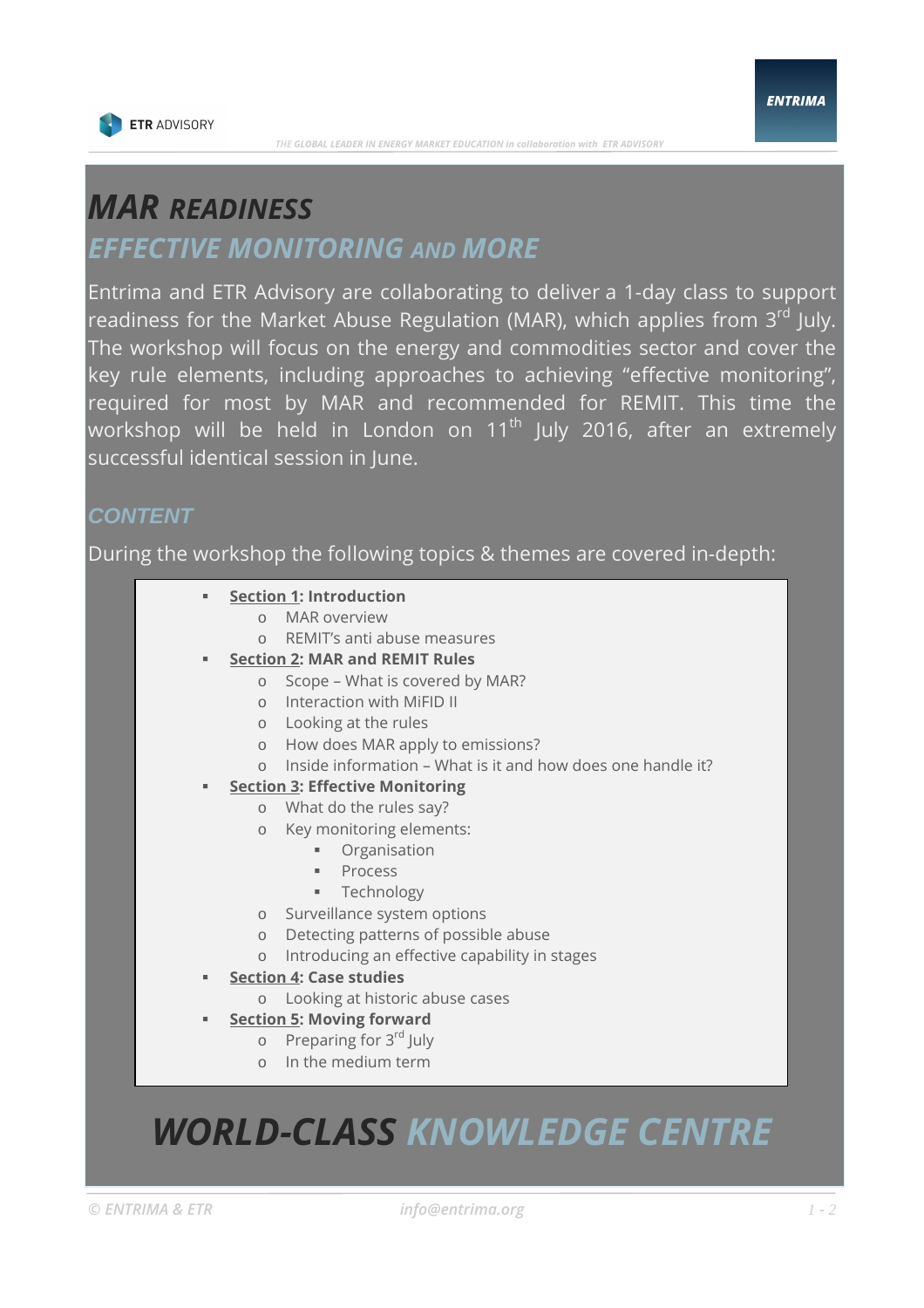

### *MAR READINESS*

### *EFFECTIVE MONITORING AND MORE*

Entrima and ETR Advisory are collaborating to deliver a 1-day class to support readiness for the Market Abuse Regulation (MAR), which applies from 3<sup>rd</sup> July. The workshop will focus on the energy and commodities sector and cover the key rule elements, including approaches to achieving "effective monitoring", required for most by MAR and recommended for REMIT. This time the workshop will be held in London on 11<sup>th</sup> July 2016, after an extremely successful identical session in June.

#### **CONTENT**

During the workshop the following topics & themes are covered in-depth:

#### **Section 1: Introduction Section 1: Introduction**

- o MIAR OVERVIEW **of European Control** o MAR overview
	- o REMIT's anti abuse measures
- **Section 2: MAR and REMIT Rules Production 2: MAR and REMIT Rules**
- **SECTION 2: MAK AND REMIT KUPS**<br>
o Scope What is covered by MAR?
	- o Interaction with MiFID II
	- o Looking at the rules
	- o How does MAR apply to emissions?
- **Section 3: Off venue reporting (1998) o** Inside information What is it and how does one handle it?
	- **Example 2: Effective Monitoring**
	- $\circ$  What do the rules say?
	- o Key monitoring elements:
	- **o Frameworks and Executions and Execution** 
		- **Process**
	- o Transportation and capacity and capacity in the Technology<br>  $\blacksquare$  Technology
	- o Surveillance system options
	- o Detecting patterns of possible abuse
	- o Introducing an effective capability in stages
- **Section 4: Field by field Section 4: Case studies** 
	- o Looking at historic abuse cases
- **Section 5: Moving forward Section 5: Moving forward** 
	- o Preparing for 3rd July
	- o In the medium term

## *WORLD-CLASS KNOWLEDGE CENTRE*